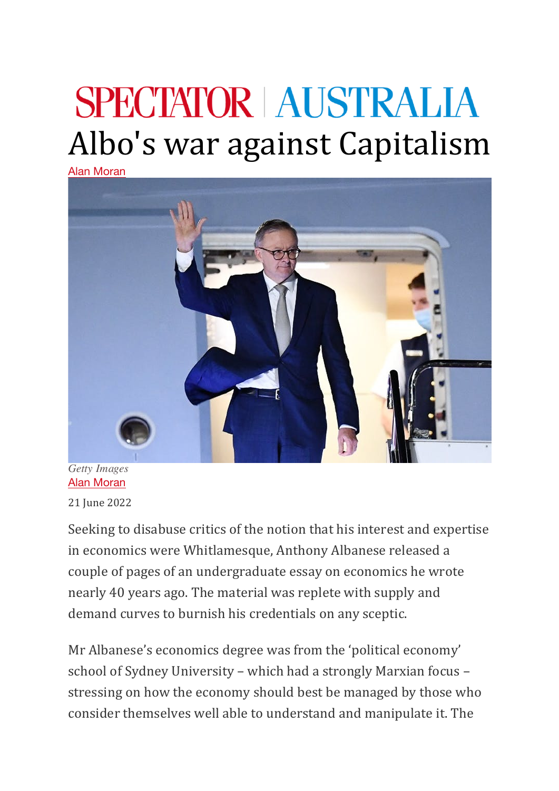## **SPECTATOR AUSTRALIA** Albo's war against Capitalism

Alan Moran



*Getty Images* Alan Moran

21 Iune 2022

Seeking to disabuse critics of the notion that his interest and expertise in economics were Whitlamesque, Anthony Albanese released a couple of pages of an undergraduate essay on economics he wrote nearly 40 years ago. The material was replete with supply and demand curves to burnish his credentials on any sceptic.

Mr Albanese's economics degree was from the 'political economy' school of Sydney University – which had a strongly Marxian focus – stressing on how the economy should best be managed by those who consider themselves well able to understand and manipulate it. The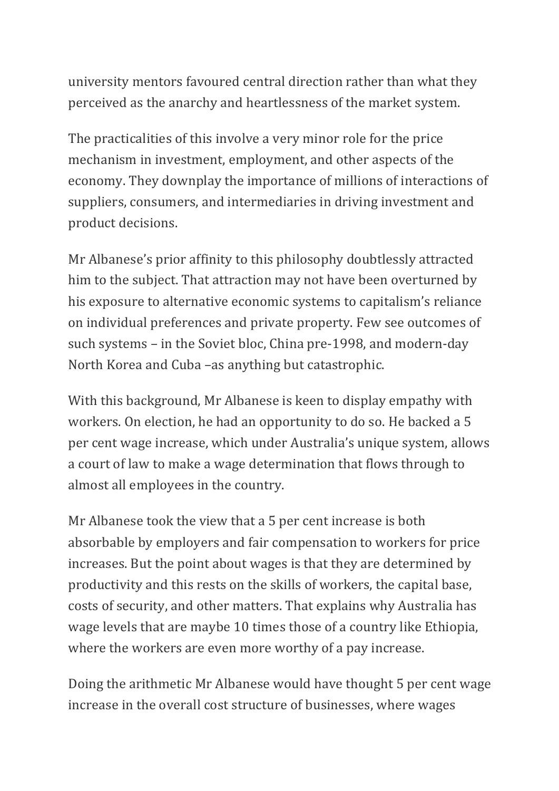university mentors favoured central direction rather than what they perceived as the anarchy and heartlessness of the market system.

The practicalities of this involve a very minor role for the price mechanism in investment, employment, and other aspects of the economy. They downplay the importance of millions of interactions of suppliers, consumers, and intermediaries in driving investment and product decisions.

Mr Albanese's prior affinity to this philosophy doubtlessly attracted him to the subject. That attraction may not have been overturned by his exposure to alternative economic systems to capitalism's reliance on individual preferences and private property. Few see outcomes of such systems – in the Soviet bloc, China pre-1998, and modern-day North Korea and Cuba –as anything but catastrophic.

With this background, Mr Albanese is keen to display empathy with workers. On election, he had an opportunity to do so. He backed a 5 per cent wage increase, which under Australia's unique system, allows a court of law to make a wage determination that flows through to almost all employees in the country.

Mr Albanese took the view that a 5 per cent increase is both absorbable by employers and fair compensation to workers for price increases. But the point about wages is that they are determined by productivity and this rests on the skills of workers, the capital base, costs of security, and other matters. That explains why Australia has wage levels that are maybe 10 times those of a country like Ethiopia, where the workers are even more worthy of a pay increase.

Doing the arithmetic Mr Albanese would have thought 5 per cent wage increase in the overall cost structure of businesses, where wages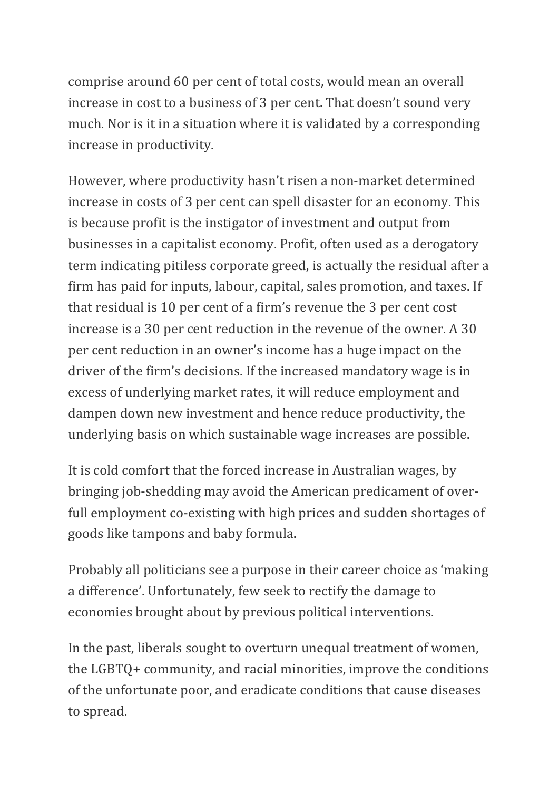comprise around 60 per cent of total costs, would mean an overall increase in cost to a business of 3 per cent. That doesn't sound very much. Nor is it in a situation where it is validated by a corresponding increase in productivity.

However, where productivity hasn't risen a non-market determined increase in costs of 3 per cent can spell disaster for an economy. This is because profit is the instigator of investment and output from businesses in a capitalist economy. Profit, often used as a derogatory term indicating pitiless corporate greed, is actually the residual after a firm has paid for inputs, labour, capital, sales promotion, and taxes. If that residual is 10 per cent of a firm's revenue the  $3$  per cent cost increase is a 30 per cent reduction in the revenue of the owner. A 30 per cent reduction in an owner's income has a huge impact on the driver of the firm's decisions. If the increased mandatory wage is in excess of underlying market rates, it will reduce employment and dampen down new investment and hence reduce productivity, the underlying basis on which sustainable wage increases are possible.

It is cold comfort that the forced increase in Australian wages, by bringing job-shedding may avoid the American predicament of overfull employment co-existing with high prices and sudden shortages of goods like tampons and baby formula.

Probably all politicians see a purpose in their career choice as 'making a difference'. Unfortunately, few seek to rectify the damage to economies brought about by previous political interventions.

In the past, liberals sought to overturn unequal treatment of women, the LGBTQ+ community, and racial minorities, improve the conditions of the unfortunate poor, and eradicate conditions that cause diseases to spread.